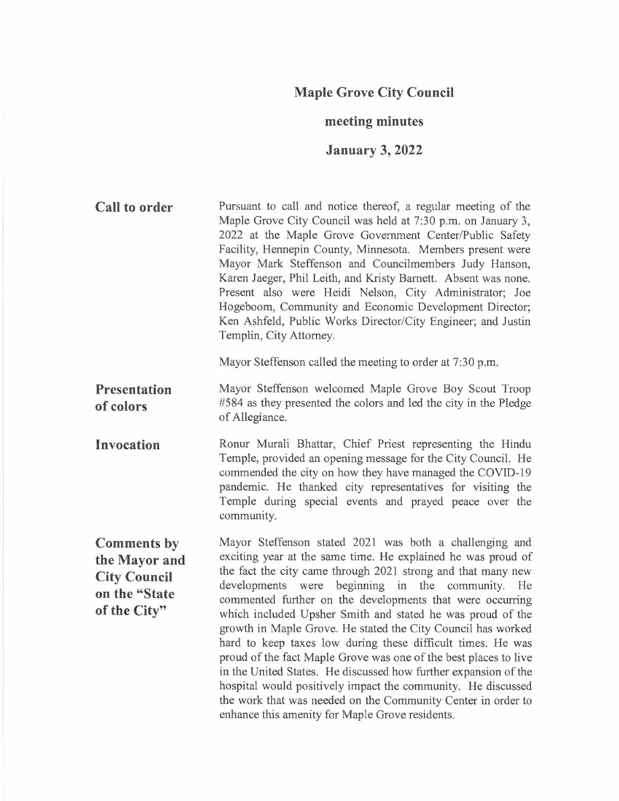## **Maple Grove City Council**

#### **meeting minutes**

## **January 3, 2022**

**Call to order**  Pursuant to call and notice thereof, a regular meeting of the Maple Grove City Council was held at 7:30 p.m. on January 3, 2022 at the Maple Grove Government Center/Public Safety Facility, Hennepin County, Minnesota. Members present were Mayor Mark Steffenson and Councilmembers Judy Hanson, Karen Jaeger, Phil Leith, and Kristy Barnett. Absent was none. Present also were Heidi Nelson, City Administrator; Joe Hogeboom, Community and Economic Development Director; Ken Ashfeld, Public Works Director/City Engineer; and Justin Templin, City Attorney.

Mayor Steffenson called the meeting to order at 7:30 p.m.

**Presentation of colors**  Mayor Steffenson welcomed Maple Grove Boy Scout Troop #584 as they presented the colors and led the city in the Pledge of Allegiance.

**Invocation**  Ronur Murali Bhattar, Chief Priest representing the Hindu Temple, provided an opening message for the City Council. He commended the city on how they have managed the COVID-19 pandemic. He thanked city representatives for visiting the Temple during special events and prayed peace over the community.

**Comments by the Mayor and City Council on the "State of the City"** 

Mayor Steffenson stated 2021 was both a challenging and exciting year at the same time. He explained he was proud of the fact the city came through 2021 strong and that many new developments were beginning in the community. He commented further on the developments that were occurring which included Upsher Smith and stated he was proud of the growth in Maple Grove. He stated the City Council has worked hard to keep taxes low during these difficult times. He was proud of the fact Maple Grove was one of the best places to live in the United States. He discussed how further expansion of the hospital would positively impact the community. He discussed the work that was needed on the Community Center in order to enhance this amenity for Maple Grove residents.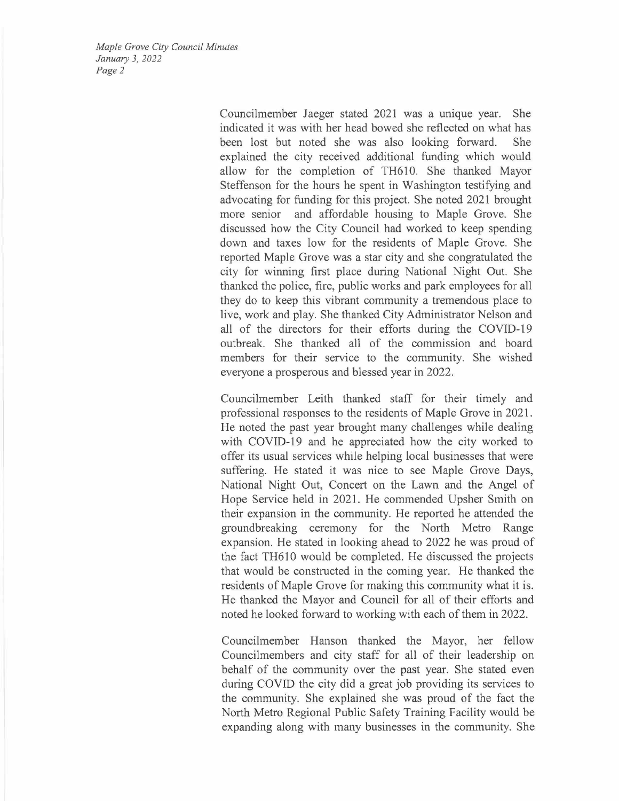> Councilmember Jaeger stated 2021 was a unique year. She indicated it was with her head bowed she reflected on what has been lost but noted she was also looking forward. explained the city received additional funding which would allow for the completion of TH610. She thanked Mayor Steffenson for the hours he spent in Washington testifying and advocating for funding for this project. She noted 2021 brought more senior and affordable housing to Maple Grove. She discussed how the City Council had worked to keep spending down and taxes low for the residents of Maple Grove. She reported Maple Grove was a star city and she congratulated the city for winning first place during National Night Out. She thanked the police, fire, public works and park employees for all they do to keep this vibrant community a tremendous place to live, work and play. She thanked City Administrator Nelson and all of the directors for their efforts during the COVID-19 outbreak. She thanked all of the commission and board members for their service to the community. She wished everyone a prosperous and blessed year in 2022.

> Councilmember Leith thanked staff for their timely and professional responses to the residents of Maple Grove in 2021. He noted the past year brought many challenges while dealing with COVID-19 and he appreciated how the city worked to offer its usual services while helping local businesses that were suffering. He stated it was nice to see Maple Grove Days, National Night Out, Concert on the Lawn and the Angel of Hope Service held in 2021. He commended Upsher Smith on their expansion in the community. He reported he attended the groundbreaking ceremony for the North Metro Range expansion. He stated in looking ahead to 2022 he was proud of the fact TH610 would be completed. He discussed the projects that would be constructed in the coming year. He thanked the residents of Maple Grove for making this community what it is. He thanked the Mayor and Council for all of their efforts and noted he looked forward to working with each of them in 2022.

> Councilmember Hanson thanked the Mayor, her fellow Councilmembers and city staff for all of their leadership on behalf of the community over the past year. She stated even during COVID the city did a great job providing its services to the community. She explained she was proud of the fact the North Metro Regional Public Safety Training Facility would be expanding along with many businesses in the community. She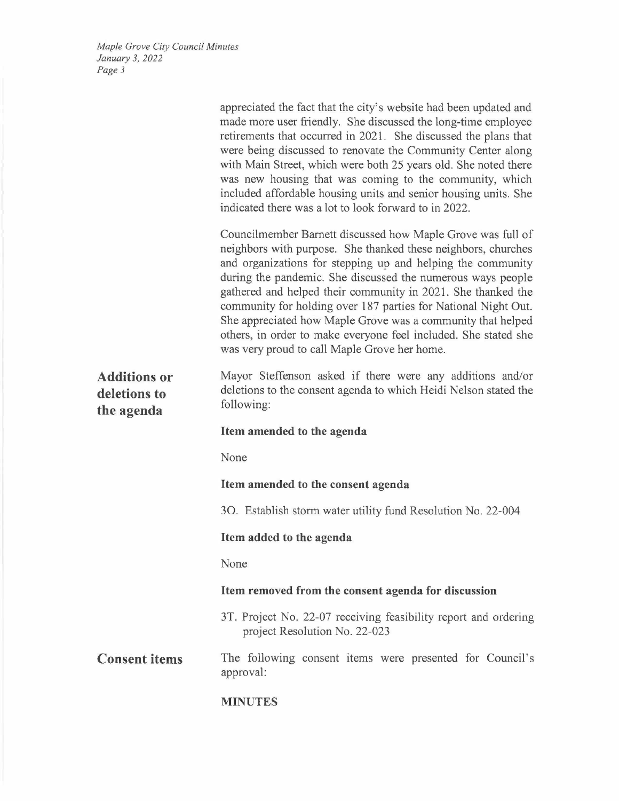|                                                   | appreciated the fact that the city's website had been updated and<br>made more user friendly. She discussed the long-time employee<br>retirements that occurred in 2021. She discussed the plans that<br>were being discussed to renovate the Community Center along<br>with Main Street, which were both 25 years old. She noted there<br>was new housing that was coming to the community, which<br>included affordable housing units and senior housing units. She<br>indicated there was a lot to look forward to in 2022.                                                 |
|---------------------------------------------------|--------------------------------------------------------------------------------------------------------------------------------------------------------------------------------------------------------------------------------------------------------------------------------------------------------------------------------------------------------------------------------------------------------------------------------------------------------------------------------------------------------------------------------------------------------------------------------|
|                                                   | Councilmember Barnett discussed how Maple Grove was full of<br>neighbors with purpose. She thanked these neighbors, churches<br>and organizations for stepping up and helping the community<br>during the pandemic. She discussed the numerous ways people<br>gathered and helped their community in 2021. She thanked the<br>community for holding over 187 parties for National Night Out.<br>She appreciated how Maple Grove was a community that helped<br>others, in order to make everyone feel included. She stated she<br>was very proud to call Maple Grove her home. |
| <b>Additions or</b><br>deletions to<br>the agenda | Mayor Steffenson asked if there were any additions and/or<br>deletions to the consent agenda to which Heidi Nelson stated the<br>following:                                                                                                                                                                                                                                                                                                                                                                                                                                    |
|                                                   | Item amended to the agenda                                                                                                                                                                                                                                                                                                                                                                                                                                                                                                                                                     |
|                                                   | None                                                                                                                                                                                                                                                                                                                                                                                                                                                                                                                                                                           |
|                                                   | Item amended to the consent agenda                                                                                                                                                                                                                                                                                                                                                                                                                                                                                                                                             |
|                                                   | 3O. Establish storm water utility fund Resolution No. 22-004                                                                                                                                                                                                                                                                                                                                                                                                                                                                                                                   |
|                                                   | Item added to the agenda                                                                                                                                                                                                                                                                                                                                                                                                                                                                                                                                                       |
|                                                   | None                                                                                                                                                                                                                                                                                                                                                                                                                                                                                                                                                                           |
|                                                   | Item removed from the consent agenda for discussion                                                                                                                                                                                                                                                                                                                                                                                                                                                                                                                            |
|                                                   | 3T. Project No. 22-07 receiving feasibility report and ordering<br>project Resolution No. 22-023                                                                                                                                                                                                                                                                                                                                                                                                                                                                               |
| <b>Consent items</b>                              | The following consent items were presented for Council's<br>approval:                                                                                                                                                                                                                                                                                                                                                                                                                                                                                                          |
|                                                   | <b>MINUTES</b>                                                                                                                                                                                                                                                                                                                                                                                                                                                                                                                                                                 |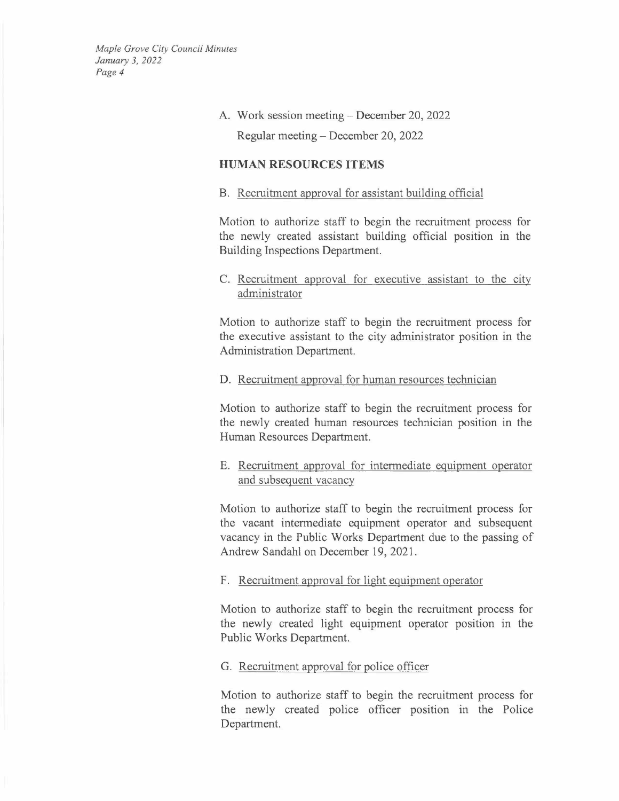#### A. Work session meeting- December 20, 2022

Regular meeting- December 20, 2022

## **HUMAN RESOURCES ITEMS**

#### B. Recruitment approval for assistant building official

Motion to authorize staff to begin the recruitment process for the newly created assistant building official position in the Building Inspections Department.

## C. Recruitment approval for executive assistant to the city administrator

Motion to authorize staff to begin the recruitment process for the executive assistant to the city administrator position in the Administration Department.

### D. Recruitment approval for human resources technician

Motion to authorize staff to begin the recruitment process for the newly created human resources technician position in the Human Resources Department.

## E. Recruitment approval for intermediate equipment operator and subsequent vacancy

Motion to authorize staff to begin the recruitment process for the vacant intermediate equipment operator and subsequent vacancy in the Public Works Department due to the passing of Andrew Sandahl on December 19, 2021.

#### F. Recruitment approval for light equipment operator

Motion to authorize staff to begin the recruitment process for the newly created light equipment operator position in the Public Works Department.

#### G. Recruitment approval for police officer

Motion to authorize staff to begin the recruitment process for the newly created police officer position in the Police Department.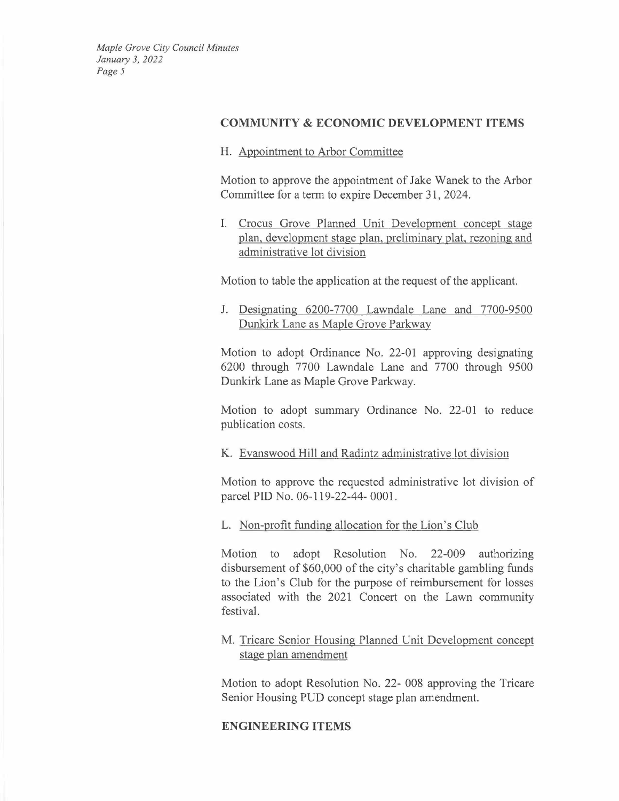#### **COMMUNITY & ECONOMIC DEVELOPMENT ITEMS**

H. Appointment to Arbor Committee

Motion to approve the appointment of Jake Wanek to the Arbor Committee for a term to expire December 31, 2024.

I. Crocus Grove Planned Unit Development concept stage plan, development stage plan, preliminary plat, rezoning and administrative lot division

Motion to table the application at the request of the applicant.

J. Designating 6290-7700 Lawndale Lane and 7700-9500 Dunkirk Lane as Maple Grove Parkway

Motion to adopt Ordinance No. 22-01 approving designating 6200 through 7700 Lawndale Lane and 7700 through 9500 Dunkirk Lane as Maple Grove Parkway.

Motion to adopt summary Ordinance No. 22-01 to reduce publication costs.

K. Evanswood Hill and Radintz administrative lot division

Motion to approve the requested administrative lot division of parcel PID No. 06-119-22-44- 0001.

L. Non-profit funding allocation for the Lion's Club

Motion to adopt Resolution No. 22-009 authorizing disbursement of \$60,000 of the city's charitable gambling funds to the Lion's Club for the purpose of reimbursement for losses associated with the 2021 Concert on the Lawn community festival.

M. Tricare Senior Housing Planned Unit Development concept stage plan amendment

Motion to adopt Resolution No. 22- 008 approving the Tricare Senior Housing PUD concept stage plan amendment.

## **ENGINEERING ITEMS**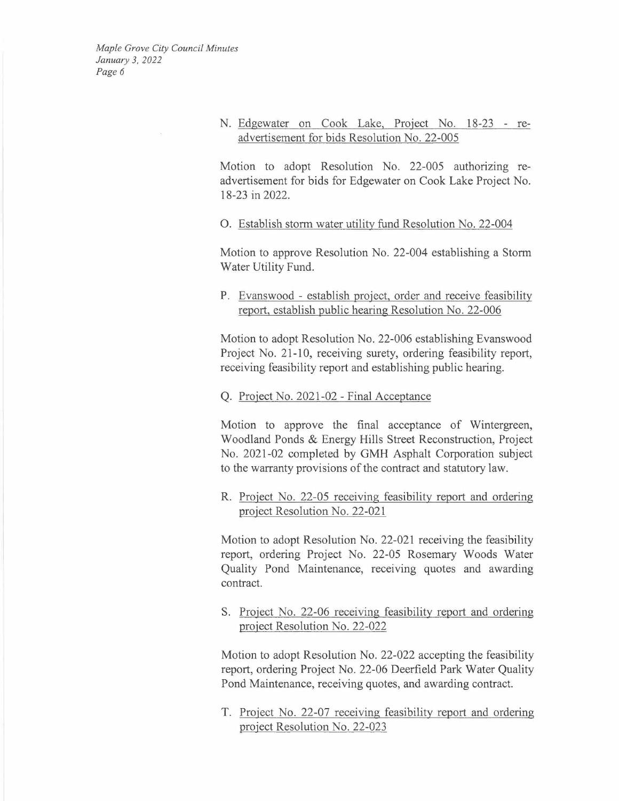> N. Edgewater on Cook Lake, Project No. 18-23 - readvertisement for bids Resolution No. 22-005

> Motion to adopt Resolution No. 22-005 authorizing readvertisement for bids for Edgewater on Cook Lake Project No. 18-23 in 2022.

0. Establish storm water utility fund Resolution No. 22-004

Motion to approve Resolution No. 22-004 establishing a Storm Water Utility Fund.

P. Evanswood - establish project, order and receive feasibility report, establish public hearing Resolution No. 22-006

Motion to adopt Resolution No. 22-006 establishing Evanswood Project No. 21-10, receiving surety, ordering feasibility report, receiving feasibility report and establishing public hearing.

#### Q. Project No. 2021-02 - Final Acceptance

Motion to approve the final acceptance of Wintergreen, Woodland Ponds & Energy Hills Street Reconstruction, Project No. 2021-02 completed by GMH Asphalt Corporation subject to the warranty provisions of the contract and statutory law.

R. Project No. 22-05 receiving feasibility report and ordering project Resolution No. 22-021

Motion to adopt Resolution No. 22-021 receiving the feasibility report, ordering Project No. 22-05 Rosemary Woods Water Quality Pond Maintenance, receiving quotes and awarding contract.

S. Project No. 22-06 receiving feasibility report and ordering project Resolution No. 22-022

Motion to adopt Resolution No. 22-022 accepting the feasibility report, ordering Project No. 22-06 Deerfield Park Water Quality Pond Maintenance, receiving quotes, and awarding contract.

T. Project No. 22-07 receiving feasibility report and ordering project Resolution No. 22-023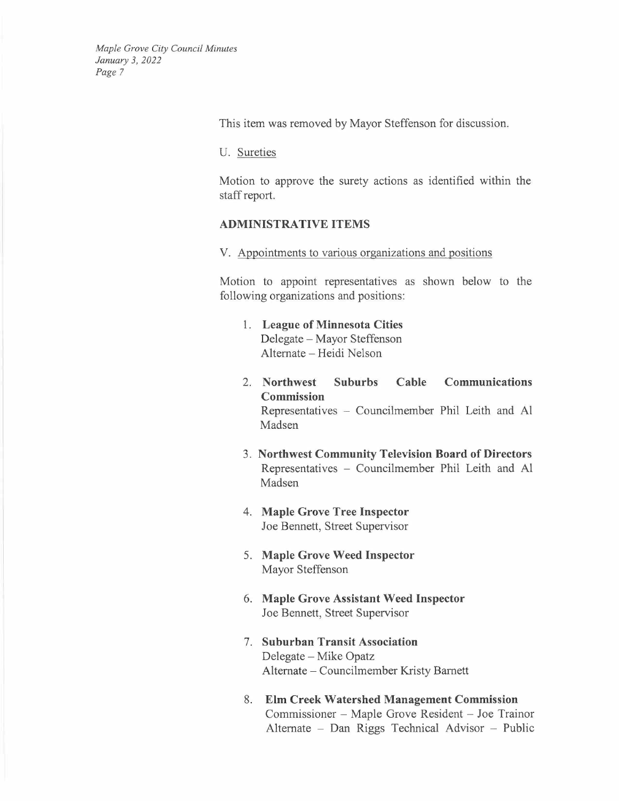This item was removed by Mayor Steffenson for discussion.

U. Sureties

Motion to approve the surety actions as identified within the staff report.

#### **ADMINISTRATIVE ITEMS**

V. Appointments to various organizations and positions

Motion to appoint representatives as shown below to the following organizations and positions:

- 1. **League of Minnesota Cities**  Delegate - Mayor Steffenson Alternate - Heidi Nelson
- 2. **Northwest Suburbs Cable Communications Commission**  Representatives - Councilmember Phil Leith and Al Madsen
- 3. **Northwest Community Television Board of Directors**  Representatives - Councilmember Phil Leith and Al Madsen
- 4. **Maple Grove Tree Inspector**  Joe Bennett, Street Supervisor
- 5. **Maple Grove Weed Inspector**  Mayor Steffenson
- 6. **Maple Grove Assistant Weed Inspector**  Joe Bennett, Street Supervisor
- 7. **Suburban Transit Association**  Delegate – Mike Opatz Alternate - Councilmember Kristy Barnett
- 8. **Elm Creek Watershed Management Commission Elm Creek Watershed Management Commission**<br>Commissioner – Maple Grove Resident – Joe Trainor<br>Alternate – Dan Riggs Technical Advisor – Public Emi Creek Watershed Management Commission<br>Commissioner – Maple Grove Resident – Joe Trainor<br>Alternate – Dan Riggs Technical Advisor – Public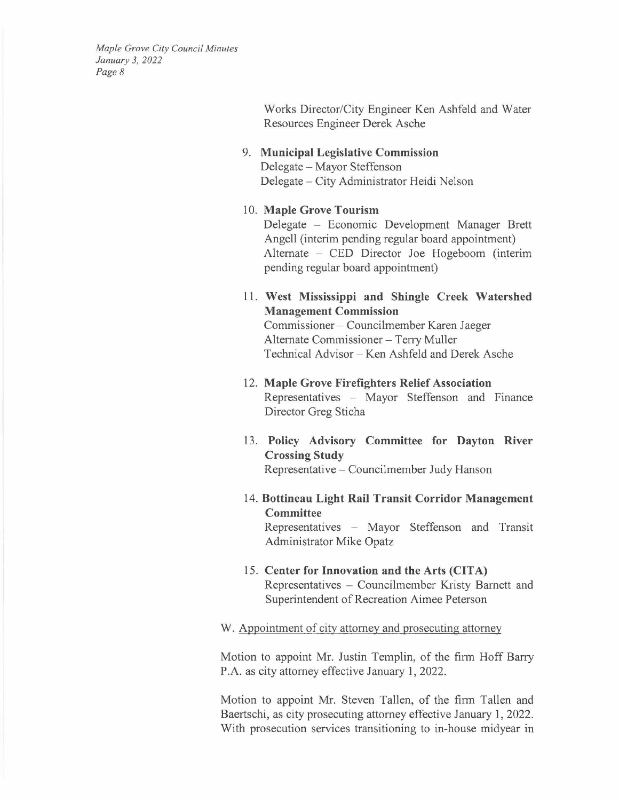> Works Director/City Engineer Ken Ashfeld and Water Resources Engineer Derek Asche

# 9. **Municipal Legislative Commission**

Delegate- Mayor Steffenson Delegate - City Administrator Heidi Nelson

#### 10. **Maple Grove Tourism**

Delegate - Economic Development Manager Brett Angell (interim pending regular board appointment) Alternate – CED Director Joe Hogeboom (interim pending regular board appointment)

11. **West Mississippi and Shingle Creek Watershed Management Commission**  Management Commission<br>Commissioner – Councilmember Karen Jaeger

Commissioner – Councilmember Karen<br>Alternate Commissioner – Terry Muller<br>Technical Advisor – Kan Achfeld and Da Alternate Commissioner – Terry Muller<br>Technical Advisor – Ken Ashfeld and Derek Asche

- 12. **Maple Grove Firefighters Relief Association**  Representatives - Mayor Steffenson and Finance Director Greg Sticha
- 13. **Policy Advisory Committee for Dayton River Crossing Study**  Representative - Councilmember Judy Hanson
- 14. **Bottineau Light Rail Transit Corridor Management Committee**  Representatives - Mayor Steffenson and Transit Administrator Mike Opatz
- 15. **Center for Innovation and the Arts (CITA)**  Representatives - Councilmember Kristy Barnett and Superintendent of Recreation Aimee Peterson

#### W. Appointment of city attorney and prosecuting attorney

Motion to appoint Mr. Justin Templin, of the firm Hoff Barry P.A. as city attorney effective January 1, 2022.

Motion to appoint Mr. Steven Tallen, of the firm Tallen and Baertschi, as city prosecuting attorney effective January 1, 2022. With prosecution services transitioning to in-house midyear in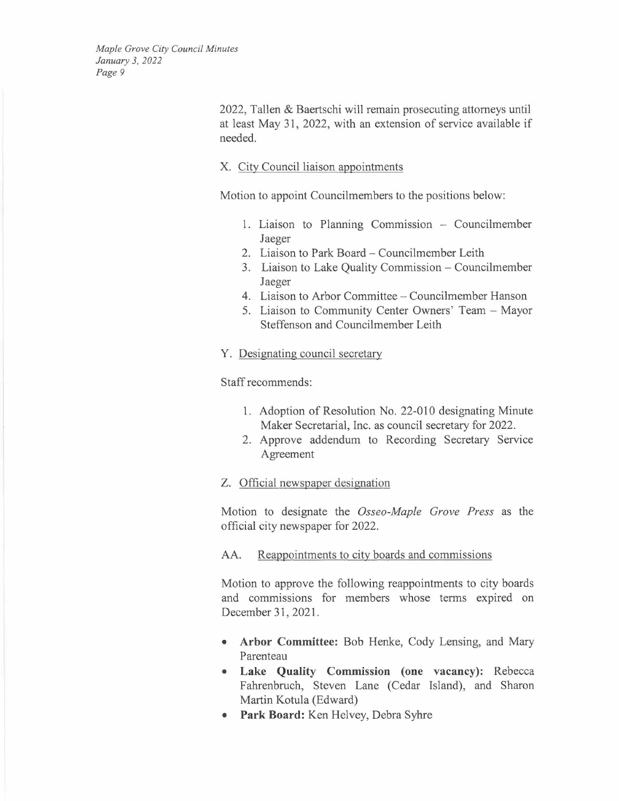> 2022, Tallen & Baertschi will remain prosecuting attorneys until at least May 31, 2022, with an extension of service available if needed.

### X. City Council liaison appointments

Motion to appoint Councilmembers to the positions below:

- 1. Liaison to Planning Commission Councilmember Jaeger
- 2. Liaison to Park Board- Councilmember Leith
- 3. Liaison to Lake Quality Commission Councilmember Jaeger
- 4. Liaison to Arbor Committee Councilmember Hanson
- 5. Liaison to Community Center Owners' Team Mayor Steffenson and Councilmember Leith
- Y. Designating council secretary

Staff recommends:

- 1. Adoption of Resolution No. 22-010 designating Minute Maker Secretarial, Inc. as council secretary for 2022.
- 2. Approve addendum to Recording Secretary Service Agreement
- Z. Official newspaper designation

Motion to designate the *Osseo-Maple Grove Press* as the official city newspaper for 2022.

#### AA. Reappointments to city boards and commissions

Motion to approve the following reappointments to city boards and commissions for members whose terms expired on December 31, 2021.

- **Arbor Committee:** Bob Henke, Cody Lensing, and Mary Parenteau
- **Lake Quality Commission (one vacancy):** Rebecca Fahrenbruch, Steven Lane (Cedar Island), and Sharon Martin Kotula (Edward)
- **Park Board:** Ken Helvey, Debra Syhre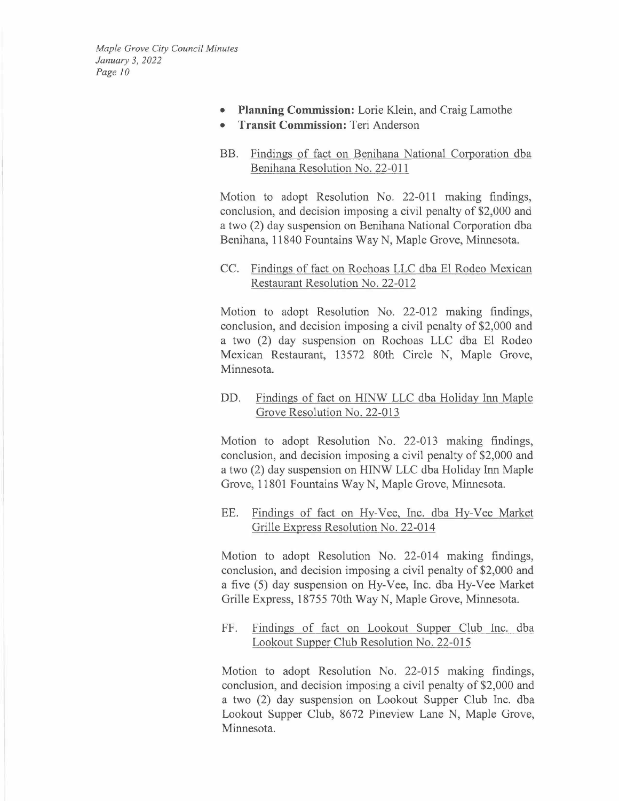- **Planning Commission:** Lorie Klein, and Craig Lamothe
- **Transit Commission:** Teri Anderson
- BB. Findings of fact on Benihana National Corporation dba Benihana Resolution No. 22-011

Motion to adopt Resolution No. 22-011 making findings, conclusion, and decision imposing a civil penalty of \$2,000 and a two (2) day suspension on Benihana National Corporation dba Benihana, 11840 Fountains Way N, Maple Grove, Minnesota.

CC. Findings of fact on Rochoas LLC dba El Rodeo Mexican Restaurant Resolution No. 22-012

Motion to adopt Resolution No. 22-012 making findings, conclusion, and decision imposing a civil penalty of \$2,000 and a two (2) day suspension on Rochoas LLC dba El Rodeo Mexican Restaurant, 13572 80th Circle N, Maple Grove, Minnesota.

DD. Findings of fact on HINW LLC dba Holiday Inn Maple Grove Resolution No. 22-013

Motion to adopt Resolution No. 22-013 making findings, conclusion, and decision imposing a civil penalty of \$2,000 and a two (2) day suspension on HINW LLC dba Holiday Inn Maple Grove, 11801 Fountains Way N, Maple Grove, Minnesota.

EE. Findings of fact on Hy-Vee, Inc. dba Hy-Vee Market Grille Express Resolution No. 22-014

Motion to adopt Resolution No. 22-014 making findings, conclusion, and decision imposing a civil penalty of \$2,000 and a five (5) day suspension on Hy-Vee, Inc. dba Hy-Vee Market Grille Express, 18755 70th Way N, Maple Grove, Minnesota.

FF. Findings of fact on Lookout Supper Club Inc. dba Lookout Supper Club Resolution No. 22-015

Motion to adopt Resolution No. 22-015 making findings, conclusion, and decision imposing a civil penalty of \$2,000 and a two (2) day suspension on Lookout Supper Club Inc. dba Lookout Supper Club, 8672 Pineview Lane N, Maple Grove, Minnesota.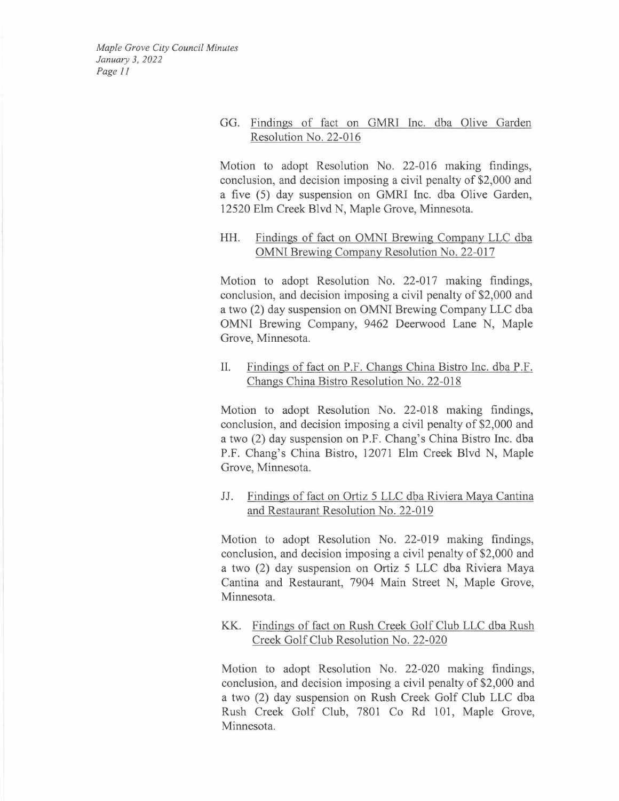## GG. Findings of fact on GMRI Inc. dba Olive Garden Resolution No. 22-016

Motion to adopt Resolution No. 22-016 making findings, conclusion, and decision imposing a civil penalty of \$2,000 and a five (5) day suspension on GMRI Inc. dba Olive Garden, 12520 Elm Creek Blvd N, Maple Grove, Minnesota.

## HH. Findings of fact on OMNI Brewing Company LLC dba OMNI Brewing Company Resolution No. 22-017

Motion to adopt Resolution No. 22-017 making findings, conclusion, and decision imposing a civil penalty of \$2,000 and a two (2) day suspension on OMNI Brewing Company LLC dba OMNI Brewing Company, 9462 Deerwood Lane N, Maple Grove, Minnesota.

## IL Findings of fact on P.F. Changs China Bistro Inc. dba P.F. Changs China Bistro Resolution No. 22-018

Motion to adopt Resolution No. 22-018 making findings, conclusion, and decision imposing a civil penalty of \$2,000 and a two (2) day suspension on P.F. Chang's China Bistro Inc. dba P.F. Chang's China Bistro, 12071 Elm Creek Blvd N, Maple Grove, Minnesota.

## JJ. Findings of fact on Ortiz 5 LLC dba Riviera Maya Cantina and Restaurant Resolution No. 22-019

Motion to adopt Resolution No. 22-019 making findings, conclusion, and decision imposing a civil penalty of \$2,000 and a two (2) day suspension on Ortiz 5 LLC dba Riviera Maya Cantina and Restaurant, 7904 Main Street N, Maple Grove, Minnesota.

## KK. Findings of fact on Rush Creek Golf Club LLC dba Rush Creek Golf Club Resolution No. 22-020

Motion to adopt Resolution No. 22-020 making findings, conclusion, and decision imposing a civil penalty of \$2,000 and a two (2) day suspension on Rush Creek Golf Club LLC dba Rush Creek Golf Club, 7801 Co Rd 101, Maple Grove, Minnesota.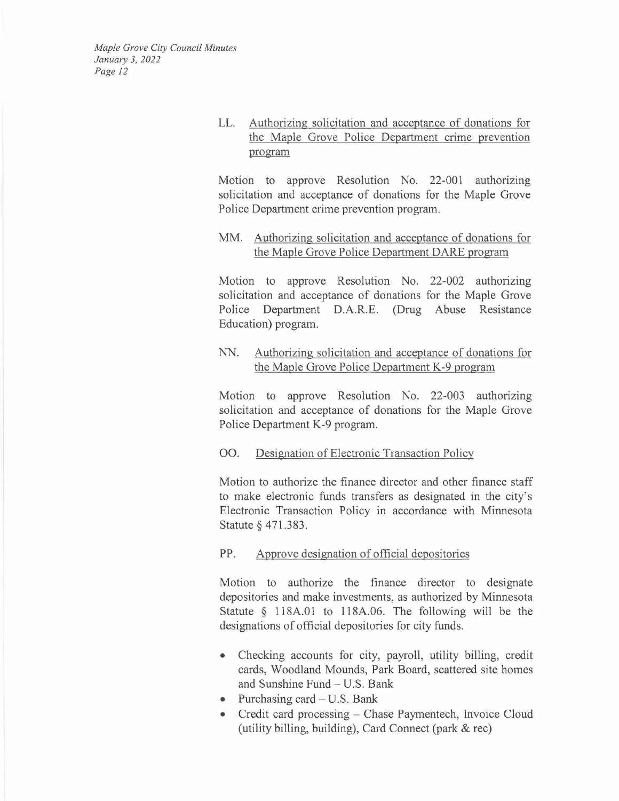> LL. Authorizing solicitation and acceptance of donations for the Maple Grove Police Department crime prevention program

> Motion to approve Resolution No. 22-001 authorizing solicitation and acceptance of donations for the Maple Grove Police Department crime prevention program.

## MM. Authorizing solicitation and acceptance of donations for the Maple Grove Police Department DARE program

Motion to approve Resolution No. 22-002 authorizing solicitation and acceptance of donations for the Maple Grove Police Department D.A.R.E. (Drug Abuse Resistance Education) program.

## NN. Authorizing solicitation and acceptance of donations for the Maple Grove Police Department K-9 program

Motion to approve Resolution No. 22-003 authorizing solicitation and acceptance of donations for the Maple Grove Police Department K-9 program.

## 00. Designation of Electronic Transaction Policy

Motion to authorize the finance director and other finance staff to make electronic funds transfers as designated in the city's Electronic Transaction Policy in accordance with Minnesota Statute§ 471.383.

## PP. Approve designation of official depositories

Motion to authorize the finance director to designate depositories and make investments, as authorized by Minnesota Statute § 118A.01 to 118A.06. The following will be the designations of official depositories for city funds.

- Checking accounts for city, payroll, utility billing, credit cards, Woodland Mounds, Park Board, scattered site homes and Sunshine Fund- U.S. Bank
- Purchasing card  $-$  U.S. Bank
- Credit card processing Chase Paymentech, Invoice Cloud (utility billing, building), Card Connect (park & rec)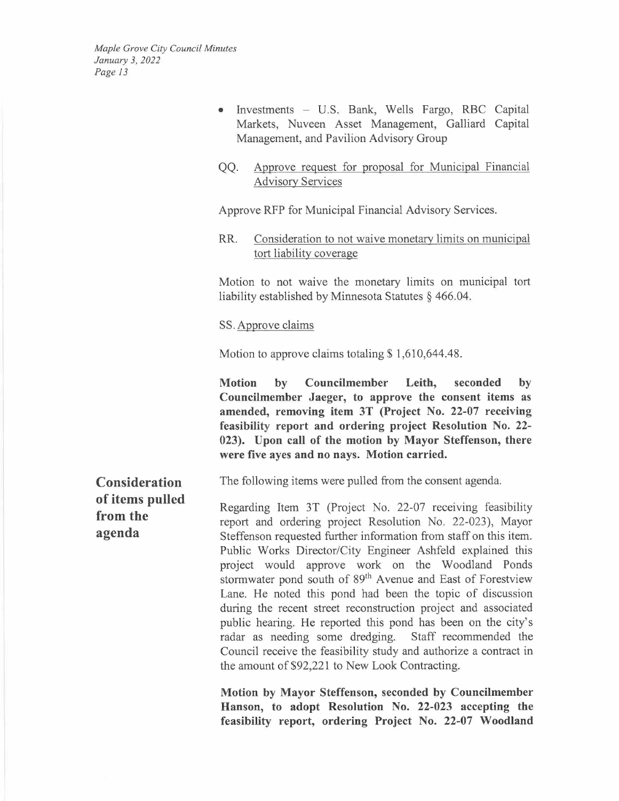- Investments U.S. Bank, Wells Fargo, RBC Capital Markets, Nuveen Asset Management, Galliard Capital Management, and Pavilion Advisory Group
- QQ. Approve request for proposal for Municipal Financial Advisory Services

Approve RFP for Municipal Financial Advisory Services.

RR. Consideration to not waive monetary limits on municipal tort liability coverage

Motion to not waive the monetary limits on municipal tort liability established by Minnesota Statutes § 466.04.

#### SS. Approve claims

Motion to approve claims totaling  $$1,610,644.48$ .

**Motion by Councilmember Leith, seconded by Councilmember Jaeger, to approve the consent items as amended, removing item 3T (Project No. 22-07 receiving feasibility report and ordering project Resolution No. 22- 023). Upon call of the motion by Mayor Steffenson, there were five ayes and no nays. Motion carried.** 

The following items were pulled from the consent agenda.

Regarding Item 3T (Project No. 22-07 receiving feasibility report and ordering project Resolution No. 22-023), Mayor Steffenson requested further information from staff on this item. Public Works Director/City Engineer Ashfeld explained this project would approve work on the Woodland Ponds stormwater pond south of 89<sup>th</sup> Avenue and East of Forestview Lane. He noted this pond had been the topic of discussion during the recent street reconstruction project and associated public hearing. He reported this pond has been on the city's radar as needing some dredging. Staff recommended the Council receive the feasibility study and authorize a contract in the amount of \$92,221 to New Look Contracting.

**Motion by Mayor Steffenson, seconded by Councilmember Hanson, to adopt Resolution No. 22-023 accepting the feasibility report, ordering Project No. 22-07 Woodland** 

**Consideration of items pulled from the agenda**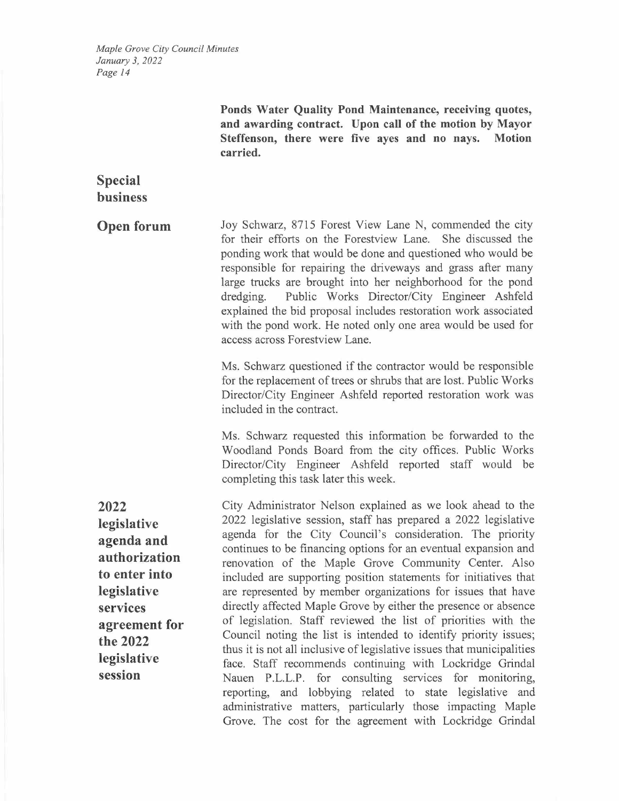|                                                                                                                                                       | Ponds Water Quality Pond Maintenance, receiving quotes,<br>and awarding contract. Upon call of the motion by Mayor<br>Steffenson, there were five ayes and no nays.<br><b>Motion</b><br>carried.                                                                                                                                                                                                                                                                                                                                                                                                                                                                                                                                                                                                                                                                                                                                                                                                                                                          |
|-------------------------------------------------------------------------------------------------------------------------------------------------------|-----------------------------------------------------------------------------------------------------------------------------------------------------------------------------------------------------------------------------------------------------------------------------------------------------------------------------------------------------------------------------------------------------------------------------------------------------------------------------------------------------------------------------------------------------------------------------------------------------------------------------------------------------------------------------------------------------------------------------------------------------------------------------------------------------------------------------------------------------------------------------------------------------------------------------------------------------------------------------------------------------------------------------------------------------------|
| <b>Special</b><br><b>business</b>                                                                                                                     |                                                                                                                                                                                                                                                                                                                                                                                                                                                                                                                                                                                                                                                                                                                                                                                                                                                                                                                                                                                                                                                           |
| <b>Open forum</b>                                                                                                                                     | Joy Schwarz, 8715 Forest View Lane N, commended the city<br>for their efforts on the Forestview Lane. She discussed the<br>ponding work that would be done and questioned who would be<br>responsible for repairing the driveways and grass after many<br>large trucks are brought into her neighborhood for the pond<br>Public Works Director/City Engineer Ashfeld<br>dredging.<br>explained the bid proposal includes restoration work associated<br>with the pond work. He noted only one area would be used for<br>access across Forestview Lane.                                                                                                                                                                                                                                                                                                                                                                                                                                                                                                    |
|                                                                                                                                                       | Ms. Schwarz questioned if the contractor would be responsible<br>for the replacement of trees or shrubs that are lost. Public Works<br>Director/City Engineer Ashfeld reported restoration work was<br>included in the contract.                                                                                                                                                                                                                                                                                                                                                                                                                                                                                                                                                                                                                                                                                                                                                                                                                          |
|                                                                                                                                                       | Ms. Schwarz requested this information be forwarded to the<br>Woodland Ponds Board from the city offices. Public Works<br>Director/City Engineer Ashfeld reported staff would be<br>completing this task later this week.                                                                                                                                                                                                                                                                                                                                                                                                                                                                                                                                                                                                                                                                                                                                                                                                                                 |
| 2022<br>legislative<br>agenda and<br>authorization<br>to enter into<br>legislative<br>services<br>agreement for<br>the 2022<br>legislative<br>session | City Administrator Nelson explained as we look ahead to the<br>2022 legislative session, staff has prepared a 2022 legislative<br>agenda for the City Council's consideration. The priority<br>continues to be financing options for an eventual expansion and<br>renovation of the Maple Grove Community Center. Also<br>included are supporting position statements for initiatives that<br>are represented by member organizations for issues that have<br>directly affected Maple Grove by either the presence or absence<br>of legislation. Staff reviewed the list of priorities with the<br>Council noting the list is intended to identify priority issues;<br>thus it is not all inclusive of legislative issues that municipalities<br>face. Staff recommends continuing with Lockridge Grindal<br>Nauen P.L.L.P. for consulting services for monitoring,<br>reporting, and lobbying related to state legislative and<br>administrative matters, particularly those impacting Maple<br>Grove. The cost for the agreement with Lockridge Grindal |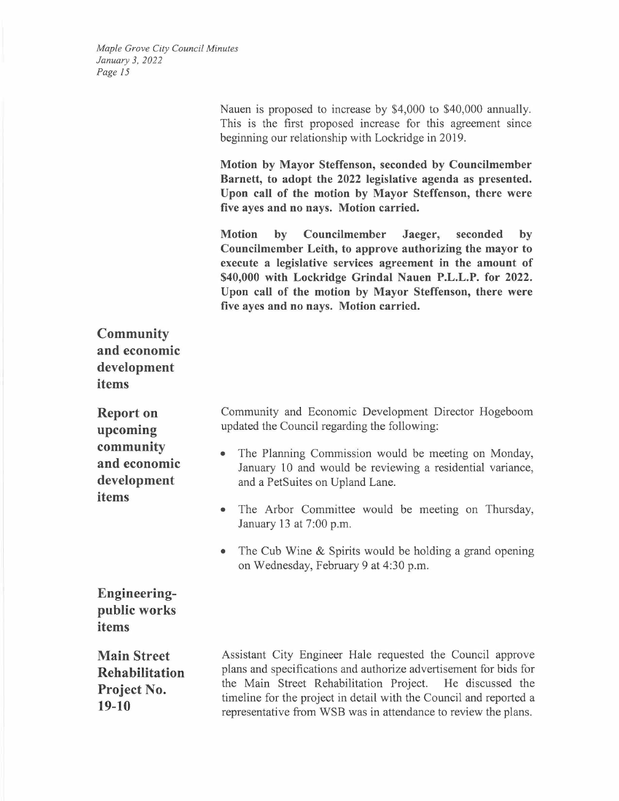> Nauen is proposed to increase by \$4,000 to \$40,000 annually. This is the first proposed increase for this agreement since beginning our relationship with Lockridge in 2019.

> **Motion by Mayor Steffenson, seconded by Councilmember Barnett, to adopt the 2022 legislative agenda as presented. Upon call of the motion by Mayor Steffenson, there were five ayes and no nays. Motion carried.**

> **Motion by Councilmember Jaeger, seconded by Councilmember Leith, to approve authorizing the mayor to execute a legislative services agreement in the amount of \$40,000 with Lockridge Grindal Nauen P.L.L.P. for 2022. Upon call of the motion by Mayor Steffenson, there were five ayes and no nays. Motion carried.**

**Community and economic development items** 

**Report on upcoming community and economic development items** 

Community and Economic Development Director Hogeboom updated the Council regarding the following:

- The Planning Commission would be meeting on Monday, January 10 and would be reviewing a residential variance, and a PetSuites on Upland Lane.
- The Arbor Committee would be meeting on Thursday, January 13 at 7:00 p.m.
- The Cub Wine & Spirits would be holding a grand opening on Wednesday, February 9 at 4:30 p.m.

**Engineeringpublic works items** 

**Main Street Rehabilitation Project No. 19-10** 

Assistant City Engineer Hale requested the Council approve plans and specifications and authorize advertisement for bids for the Main Street Rehabilitation Project. He discussed the timeline for the project in detail with the Council and reported a representative from WSB was in attendance to review the plans.